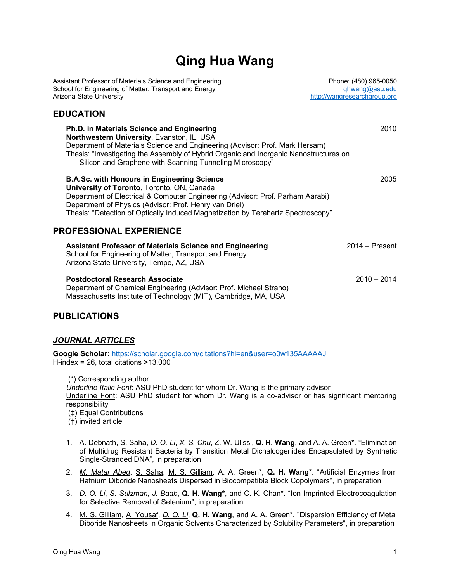# **Qing Hua Wang**

Assistant Professor of Materials Science and Engineering Phone: (480) 965-0050 School for Engineering of Matter, Transport and Energy **of the ending of the set of the set of the set of the s**<br>Arizona State University distributions of the set of the set of the set of the set of the set of the set of t

http://wangresearchgroup.org

# **EDUCATION**

| Ph.D. in Materials Science and Engineering<br>Northwestern University, Evanston, IL, USA<br>Department of Materials Science and Engineering (Advisor: Prof. Mark Hersam)<br>Thesis: "Investigating the Assembly of Hybrid Organic and Inorganic Nanostructures on<br>Silicon and Graphene with Scanning Tunneling Microscopy"                                      | 2010             |
|--------------------------------------------------------------------------------------------------------------------------------------------------------------------------------------------------------------------------------------------------------------------------------------------------------------------------------------------------------------------|------------------|
| <b>B.A.Sc. with Honours in Engineering Science</b><br>University of Toronto, Toronto, ON, Canada<br>Department of Electrical & Computer Engineering (Advisor: Prof. Parham Aarabi)<br>Department of Physics (Advisor: Prof. Henry van Driel)<br>Thesis: "Detection of Optically Induced Magnetization by Terahertz Spectroscopy"<br><b>PROFESSIONAL EXPERIENCE</b> | 2005             |
| <b>Assistant Professor of Materials Science and Engineering</b><br>School for Engineering of Matter, Transport and Energy<br>Arizona State University, Tempe, AZ, USA                                                                                                                                                                                              | $2014 -$ Present |
| Postdoctoral Research Associate<br>Department of Chemical Engineering (Advisor: Prof. Michael Strano)<br>Massachusetts Institute of Technology (MIT), Cambridge, MA, USA                                                                                                                                                                                           | $2010 - 2014$    |

## **PUBLICATIONS**

## *JOURNAL ARTICLES*

**Google Scholar:** https://scholar.google.com/citations?hl=en&user=o0w135AAAAAJ H-index = 26, total citations >13,000

(\*) Corresponding author

*Underline Italic Font*: ASU PhD student for whom Dr. Wang is the primary advisor Underline Font: ASU PhD student for whom Dr. Wang is a co-advisor or has significant mentoring responsibility

(‡) Equal Contributions

(†) invited article

- 1. A. Debnath, S. Saha, *D. O. Li*, *X. S. Chu*, Z. W. Ulissi, **Q. H. Wang**, and A. A. Green\*. "Elimination of Multidrug Resistant Bacteria by Transition Metal Dichalcogenides Encapsulated by Synthetic Single-Stranded DNA", in preparation
- 2. *M. Matar Abed*, S. Saha, M. S. Gilliam, A. A. Green\*, **Q. H. Wang**\*. "Artificial Enzymes from Hafnium Diboride Nanosheets Dispersed in Biocompatible Block Copolymers", in preparation
- 3. *D. O. Li*, *S. Sulzman*, *J. Baab*, **Q. H. Wang\***, and C. K. Chan\*. "Ion Imprinted Electrocoagulation for Selective Removal of Selenium", in preparation
- 4. M. S. Gilliam, A. Yousaf, *D. O. Li*, **Q. H. Wang**, and A. A. Green\*, "Dispersion Efficiency of Metal Diboride Nanosheets in Organic Solvents Characterized by Solubility Parameters", in preparation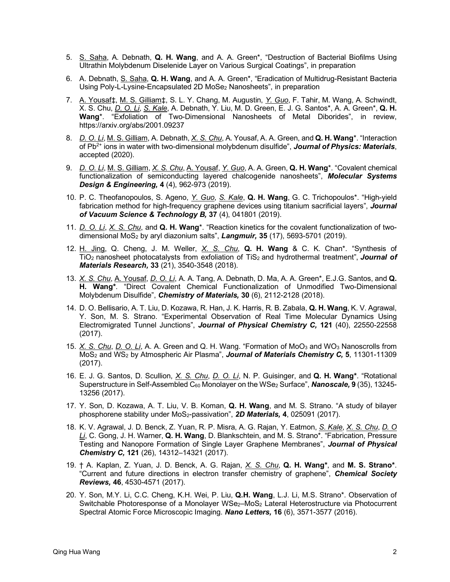- 5. S. Saha, A. Debnath, **Q. H. Wang**, and A. A. Green\*, "Destruction of Bacterial Biofilms Using Ultrathin Molybdenum Diselenide Layer on Various Surgical Coatings", in preparation
- 6. A. Debnath, S. Saha, **Q. H. Wang**, and A. A. Green\*, "Eradication of Multidrug-Resistant Bacteria Using Poly-L-Lysine-Encapsulated 2D MoSe2 Nanosheets", in preparation
- 7. A. Yousaf‡, M. S. Gilliam‡, S. L. Y. Chang, M. Augustin, *Y. Guo*, F. Tahir, M. Wang, A. Schwindt, X. S. Chu, *D. O. Li*, *S. Kale*, A. Debnath, Y. Liu, M. D. Green, E. J. G. Santos\*, A. A. Green\*, **Q. H. Wang**\*. "Exfoliation of Two-Dimensional Nanosheets of Metal Diborides", in review, https://arxiv.org/abs/2001.09237
- 8. *D. O. Li*, M. S. Gilliam, A. Debnath, *X. S. Chu*, A. Yousaf, A. A. Green, and **Q. H. Wang**\*. "Interaction of Pb2+ ions in water with two-dimensional molybdenum disulfide", *Journal of Physics: Materials*, accepted (2020).
- 9. *D. O. Li*, M. S. Gilliam, *X. S. Chu*, A. Yousaf, *Y. Guo*, A. A. Green, **Q. H. Wang**\*. "Covalent chemical functionalization of semiconducting layered chalcogenide nanosheets", *Molecular Systems Design & Engineering,* **4** (4), 962-973 (2019).
- 10. P. C. Theofanopoulos, S. Ageno, *Y. Guo*, *S. Kale*, **Q. H. Wang**, G. C. Trichopoulos\*. "High-yield fabrication method for high-frequency graphene devices using titanium sacrificial layers", *Journal of Vacuum Science & Technology B,* **37** (4), 041801 (2019).
- 11. *D. O. Li*, *X. S. Chu*, and **Q. H. Wang**\*. "Reaction kinetics for the covalent functionalization of twodimensional MoS2 by aryl diazonium salts", *Langmuir,* **35** (17), 5693-5701 (2019).
- 12. H. Jing, Q. Cheng, J. M. Weller, *X. S. Chu*, **Q. H. Wang** & C. K. Chan\*. "Synthesis of TiO<sub>2</sub> nanosheet photocatalysts from exfoliation of TiS<sub>2</sub> and hydrothermal treatment", **Journal of** *Materials Research,* **33** (21), 3540-3548 (2018).
- 13. *X. S. Chu*, A. Yousaf, *D. O. Li*, A. A. Tang, A. Debnath, D. Ma, A. A. Green\*, E.J.G. Santos, and **Q. H. Wang\***. "Direct Covalent Chemical Functionalization of Unmodified Two-Dimensional Molybdenum Disulfide", *Chemistry of Materials,* **30** (6), 2112-2128 (2018).
- 14. D. O. Bellisario, A. T. Liu, D. Kozawa, R. Han, J. K. Harris, R. B. Zabala, **Q. H. Wang**, K. V. Agrawal, Y. Son, M. S. Strano. "Experimental Observation of Real Time Molecular Dynamics Using Electromigrated Tunnel Junctions", *Journal of Physical Chemistry C,* **121** (40), 22550-22558 (2017).
- 15. *X. S. Chu*, *D. O. Li*, A. A. Green and Q. H. Wang. "Formation of MoO3 and WO3 Nanoscrolls from MoS2 and WS2 by Atmospheric Air Plasma", *Journal of Materials Chemistry C,* **5**, 11301-11309 (2017).
- 16. E. J. G. Santos, D. Scullion, *X. S. Chu*, *D. O. Li*, N. P. Guisinger, and **Q. H. Wang\***. "Rotational Superstructure in Self-Assembled C60 Monolayer on the WSe2 Surface", *Nanoscale,* **9** (35), 13245- 13256 (2017).
- 17. Y. Son, D. Kozawa, A. T. Liu, V. B. Koman, **Q. H. Wang**, and M. S. Strano. "A study of bilayer phosphorene stability under MoS2-passivation", *2D Materials,* **4**, 025091 (2017).
- 18. K. V. Agrawal, J. D. Benck, Z. Yuan, R. P. Misra, A. G. Rajan, Y. Eatmon, *S. Kale*, *X. S. Chu*, *D. O Li*, C. Gong, J. H. Warner, **Q. H. Wang**, D. Blankschtein, and M. S. Strano\*. "Fabrication, Pressure Testing and Nanopore Formation of Single Layer Graphene Membranes", *Journal of Physical Chemistry C,* **121** (26), 14312–14321 (2017).
- 19. † A. Kaplan, Z. Yuan, J. D. Benck, A. G. Rajan, *X. S. Chu*, **Q. H. Wang\***, and **M. S. Strano\***. "Current and future directions in electron transfer chemistry of graphene", *Chemical Society Reviews,* **46**, 4530-4571 (2017).
- 20. Y. Son, M.Y. Li, C.C. Cheng, K.H. Wei, P. Liu, **Q.H. Wang**, L.J. Li, M.S. Strano\*. Observation of Switchable Photoresponse of a Monolayer WSe<sub>2</sub>–MoS<sub>2</sub> Lateral Heterostructure via Photocurrent Spectral Atomic Force Microscopic Imaging. *Nano Letters,* **16** (6), 3571-3577 (2016).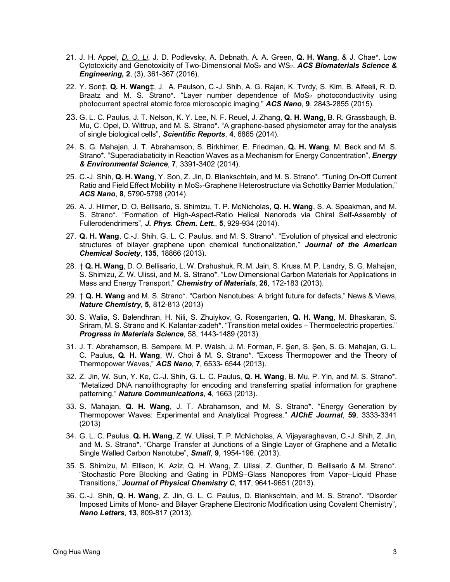- 21. J. H. Appel, *D. O. Li*, J. D. Podlevsky, A. Debnath, A. A. Green, **Q. H. Wang**, & J. Chae\*. Low Cytotoxicity and Genotoxicity of Two-Dimensional MoS2 and WS2. *ACS Biomaterials Science & Engineering,* **2**, (3), 361-367 (2016).
- 22. Y. Son‡, **Q. H. Wang**‡, J. A. Paulson, C.-J. Shih, A. G. Rajan, K. Tvrdy, S. Kim, B. Alfeeli, R. D. Braatz and M. S. Strano\*. "Layer number dependence of  $MoS<sub>2</sub>$  photoconductivity using photocurrent spectral atomic force microscopic imaging," *ACS Nano*, **9**, 2843-2855 (2015).
- 23. G. L. C. Paulus, J. T. Nelson, K. Y. Lee, N. F. Reuel, J. Zhang, **Q. H. Wang**, B. R. Grassbaugh, B. Mu, C. Opel, D. Wittrup, and M. S. Strano\*. "A graphene-based physiometer array for the analysis of single biological cells", *Scientific Reports*, **4**, 6865 (2014).
- 24. S. G. Mahajan, J. T. Abrahamson, S. Birkhimer, E. Friedman, **Q. H. Wang**, M. Beck and M. S. Strano\*. "Superadiabaticity in Reaction Waves as a Mechanism for Energy Concentration", *Energy & Environmental Science*, **7**, 3391-3402 (2014).
- 25. C.-J. Shih, **Q. H. Wang**, Y. Son, Z. Jin, D. Blankschtein, and M. S. Strano\*. "Tuning On-Off Current Ratio and Field Effect Mobility in MoS<sub>2</sub>-Graphene Heterostructure via Schottky Barrier Modulation," *ACS Nano*, **8**, 5790-5798 (2014).
- 26. A. J. Hilmer, D. O. Bellisario, S. Shimizu, T. P. McNicholas, **Q. H. Wang**, S. A. Speakman, and M. S. Strano\*. "Formation of High-Aspect-Ratio Helical Nanorods via Chiral Self-Assembly of Fullerodendrimers", *J. Phys. Chem. Lett.*, **5**, 929-934 (2014).
- 27. **Q. H. Wang**, C.-J. Shih, G. L. C. Paulus, and M. S. Strano\*. "Evolution of physical and electronic structures of bilayer graphene upon chemical functionalization," *Journal of the American Chemical Society*, **135**, 18866 (2013).
- 28. † **Q. H. Wang**, D. O. Bellisario, L. W. Drahushuk, R. M. Jain, S. Kruss, M. P. Landry, S. G. Mahajan, S. Shimizu, Z. W. Ulissi, and M. S. Strano\*. "Low Dimensional Carbon Materials for Applications in Mass and Energy Transport," *Chemistry of Materials*, **26**, 172-183 (2013).
- 29. † **Q. H. Wang** and M. S. Strano\*. "Carbon Nanotubes: A bright future for defects," News & Views, *Nature Chemistry*, **5**, 812-813 (2013)
- 30. S. Walia, S. Balendhran, H. Nili, S. Zhuiykov, G. Rosengarten, **Q. H. Wang**, M. Bhaskaran, S. Sriram, M. S. Strano and K. Kalantar-zadeh\*. "Transition metal oxides – Thermoelectric properties." *Progress in Materials Science*, 58, 1443-1489 (2013).
- 31. J. T. Abrahamson, B. Sempere, M. P. Walsh, J. M. Forman, F. Şen, S. Şen, S. G. Mahajan, G. L. C. Paulus, **Q. H. Wang**, W. Choi & M. S. Strano\*. "Excess Thermopower and the Theory of Thermopower Waves," *ACS Nano*, **7**, 6533- 6544 (2013).
- 32. Z. Jin, W. Sun, Y. Ke, C.-J. Shih, G. L. C. Paulus, **Q. H. Wang**, B. Mu, P. Yin, and M. S. Strano\*. "Metalized DNA nanolithography for encoding and transferring spatial information for graphene patterning," *Nature Communications*, **4**, 1663 (2013).
- 33. S. Mahajan, **Q. H. Wang**, J. T. Abrahamson, and M. S. Strano\*. "Energy Generation by Thermopower Waves: Experimental and Analytical Progress." *AIChE Journal*, **59**, 3333-3341 (2013)
- 34. G. L. C. Paulus, **Q. H. Wang**, Z. W. Ulissi, T. P. McNicholas, A. Vijayaraghavan, C.-J. Shih, Z. Jin, and M. S. Strano\*. "Charge Transfer at Junctions of a Single Layer of Graphene and a Metallic Single Walled Carbon Nanotube", *Small*, **9**, 1954-196. (2013).
- 35. S. Shimizu, M. Ellison, K. Aziz, Q. H. Wang, Z. Ulissi, Z. Gunther, D. Bellisario & M. Strano\*. "Stochastic Pore Blocking and Gating in PDMS–Glass Nanopores from Vapor–Liquid Phase Transitions," *Journal of Physical Chemistry C*, **117**, 9641-9651 (2013).
- 36. C.-J. Shih, **Q. H. Wang**, Z. Jin, G. L. C. Paulus, D. Blankschtein, and M. S. Strano\*. "Disorder Imposed Limits of Mono- and Bilayer Graphene Electronic Modification using Covalent Chemistry", *Nano Letters*, **13**, 809-817 (2013).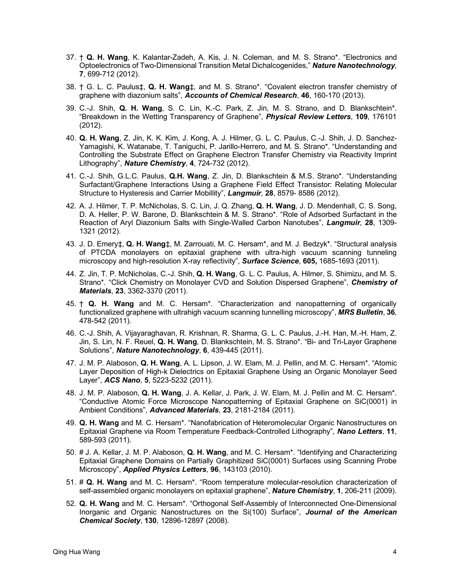- 37. † **Q. H. Wang**, K. Kalantar-Zadeh, A. Kis, J. N. Coleman, and M. S. Strano\*. "Electronics and Optoelectronics of Two-Dimensional Transition Metal Dichalcogenides," *Nature Nanotechnology*, **7**, 699-712 (2012).
- 38. † G. L. C. Paulus‡, **Q. H. Wang**‡, and M. S. Strano\*. "Covalent electron transfer chemistry of graphene with diazonium salts", *Accounts of Chemical Research*, **46**, 160-170 (2013).
- 39. C.-J. Shih, **Q. H. Wang**, S. C. Lin, K.-C. Park, Z. Jin, M. S. Strano, and D. Blankschtein\*. "Breakdown in the Wetting Transparency of Graphene", *Physical Review Letters*, **109**, 176101 (2012).
- 40. **Q. H. Wang**, Z. Jin, K. K. Kim, J. Kong, A. J. Hilmer, G. L. C. Paulus, C.-J. Shih, J. D. Sanchez-Yamagishi, K. Watanabe, T. Taniguchi, P. Jarillo-Herrero, and M. S. Strano\*. "Understanding and Controlling the Substrate Effect on Graphene Electron Transfer Chemistry via Reactivity Imprint Lithography", *Nature Chemistry*, **4**, 724-732 (2012).
- 41. C.-J. Shih, G.L.C. Paulus, **Q.H. Wang**, Z. Jin, D. Blankschtein & M.S. Strano\*. "Understanding Surfactant/Graphene Interactions Using a Graphene Field Effect Transistor: Relating Molecular Structure to Hysteresis and Carrier Mobillity", *Langmuir*, **28**, 8579- 8586 (2012).
- 42. A. J. Hilmer, T. P. McNicholas, S. C. Lin, J. Q. Zhang, **Q. H. Wang**, J. D. Mendenhall, C. S. Song, D. A. Heller, P. W. Barone, D. Blankschtein & M. S. Strano\*. "Role of Adsorbed Surfactant in the Reaction of Aryl Diazonium Salts with Single-Walled Carbon Nanotubes", *Langmuir*, **28**, 1309- 1321 (2012).
- 43. J. D. Emery‡, **Q. H. Wang**‡, M. Zarrouati, M. C. Hersam\*, and M. J. Bedzyk\*. "Structural analysis of PTCDA monolayers on epitaxial graphene with ultra-high vacuum scanning tunneling microscopy and high-resolution X-ray reflectivity", *Surface Science*, **605,** 1685-1693 (2011).
- 44. Z. Jin, T. P. McNicholas, C.-J. Shih, **Q. H. Wang**, G. L. C. Paulus, A. Hilmer, S. Shimizu, and M. S. Strano\*. "Click Chemistry on Monolayer CVD and Solution Dispersed Graphene", *Chemistry of Materials*, **23**, 3362-3370 (2011).
- 45. † **Q. H. Wang** and M. C. Hersam\*. "Characterization and nanopatterning of organically functionalized graphene with ultrahigh vacuum scanning tunnelling microscopy", *MRS Bulletin*, **36**, 478-542 (2011).
- 46. C.-J. Shih, A. Vijayaraghavan, R. Krishnan, R. Sharma, G. L. C. Paulus, J.-H. Han, M.-H. Ham, Z. Jin, S. Lin, N. F. Reuel, **Q. H. Wang**, D. Blankschtein, M. S. Strano\*. "Bi- and Tri-Layer Graphene Solutions", *Nature Nanotechnology*, **6**, 439-445 (2011).
- 47. J. M. P. Alaboson, **Q. H. Wang**, A. L. Lipson, J. W. Elam, M. J. Pellin, and M. C. Hersam\*. "Atomic Layer Deposition of High-k Dielectrics on Epitaxial Graphene Using an Organic Monolayer Seed Layer", *ACS Nano*, **5**, 5223-5232 (2011).
- 48. J. M. P. Alaboson, **Q. H. Wang**, J. A. Kellar, J. Park, J. W. Elam, M. J. Pellin and M. C. Hersam\*. "Conductive Atomic Force Microscope Nanopatterning of Epitaxial Graphene on SiC(0001) in Ambient Conditions", *Advanced Materials*, **23**, 2181-2184 (2011).
- 49. **Q. H. Wang** and M. C. Hersam\*. "Nanofabrication of Heteromolecular Organic Nanostructures on Epitaxial Graphene via Room Temperature Feedback-Controlled Lithography", *Nano Letters*, **11**, 589-593 (2011).
- 50. # J. A. Kellar, J. M. P. Alaboson, **Q. H. Wang**, and M. C. Hersam\*. "Identifying and Characterizing Epitaxial Graphene Domains on Partially Graphitized SiC(0001) Surfaces using Scanning Probe Microscopy", *Applied Physics Letters*, **96**, 143103 (2010).
- 51. # **Q. H. Wang** and M. C. Hersam\*. "Room temperature molecular-resolution characterization of self-assembled organic monolayers on epitaxial graphene", *Nature Chemistry*, **1**, 206-211 (2009).
- 52. **Q. H. Wang** and M. C. Hersam\*. "Orthogonal Self-Assembly of Interconnected One-Dimensional Inorganic and Organic Nanostructures on the Si(100) Surface", *Journal of the American Chemical Society*, **130**, 12896-12897 (2008).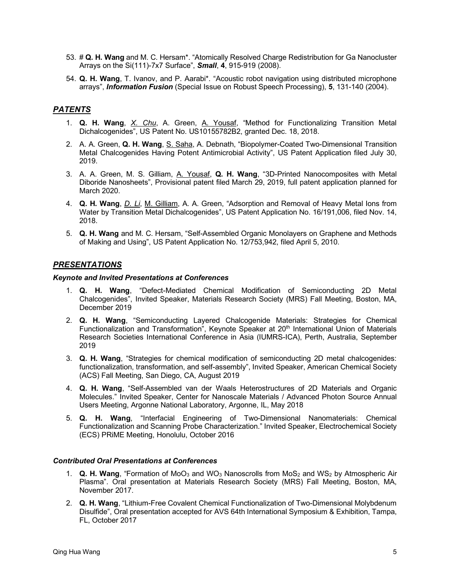- 53. # **Q. H. Wang** and M. C. Hersam\*. "Atomically Resolved Charge Redistribution for Ga Nanocluster Arrays on the Si(111)-7x7 Surface", *Small*, **4**, 915-919 (2008).
- 54. **Q. H. Wang**, T. Ivanov, and P. Aarabi\*. "Acoustic robot navigation using distributed microphone arrays", *Information Fusion* (Special Issue on Robust Speech Processing), **5**, 131-140 (2004).

# *PATENTS*

- 1. **Q. H. Wang**, *X. Chu*, A. Green, A. Yousaf, "Method for Functionalizing Transition Metal Dichalcogenides", US Patent No. US10155782B2, granted Dec. 18, 2018.
- 2. A. A. Green, **Q. H. Wang**, S. Saha, A. Debnath, "Biopolymer-Coated Two-Dimensional Transition Metal Chalcogenides Having Potent Antimicrobial Activity", US Patent Application filed July 30, 2019.
- 3. A. A. Green, M. S. Gilliam, A. Yousaf, **Q. H. Wang**, "3D-Printed Nanocomposites with Metal Diboride Nanosheets", Provisional patent filed March 29, 2019, full patent application planned for March 2020.
- 4. **Q. H. Wang**, *D. Li*, M. Gilliam, A. A. Green, "Adsorption and Removal of Heavy Metal Ions from Water by Transition Metal Dichalcogenides", US Patent Application No. 16/191,006, filed Nov. 14, 2018.
- 5. **Q. H. Wang** and M. C. Hersam, "Self-Assembled Organic Monolayers on Graphene and Methods of Making and Using", US Patent Application No. 12/753,942, filed April 5, 2010.

## *PRESENTATIONS*

#### *Keynote and Invited Presentations at Conferences*

- 1. **Q. H. Wang**, "Defect-Mediated Chemical Modification of Semiconducting 2D Metal Chalcogenides", Invited Speaker, Materials Research Society (MRS) Fall Meeting, Boston, MA, December 2019
- 2. **Q. H. Wang**, "Semiconducting Layered Chalcogenide Materials: Strategies for Chemical Functionalization and Transformation<sup>"</sup>, Keynote Speaker at 20<sup>th</sup> International Union of Materials Research Societies International Conference in Asia (IUMRS-ICA), Perth, Australia, September 2019
- 3. **Q. H. Wang**, "Strategies for chemical modification of semiconducting 2D metal chalcogenides: functionalization, transformation, and self-assembly", Invited Speaker, American Chemical Society (ACS) Fall Meeting, San Diego, CA, August 2019
- 4. **Q. H. Wang**, "Self-Assembled van der Waals Heterostructures of 2D Materials and Organic Molecules." Invited Speaker, Center for Nanoscale Materials / Advanced Photon Source Annual Users Meeting, Argonne National Laboratory, Argonne, IL, May 2018
- 5. **Q. H. Wang**, "Interfacial Engineering of Two-Dimensional Nanomaterials: Chemical Functionalization and Scanning Probe Characterization." Invited Speaker, Electrochemical Society (ECS) PRiME Meeting, Honolulu, October 2016

#### *Contributed Oral Presentations at Conferences*

- 1. **Q. H. Wang**, "Formation of MoO3 and WO3 Nanoscrolls from MoS2 and WS2 by Atmospheric Air Plasma". Oral presentation at Materials Research Society (MRS) Fall Meeting, Boston, MA, November 2017.
- 2. **Q. H. Wang**, "Lithium-Free Covalent Chemical Functionalization of Two-Dimensional Molybdenum Disulfide", Oral presentation accepted for AVS 64th International Symposium & Exhibition, Tampa, FL, October 2017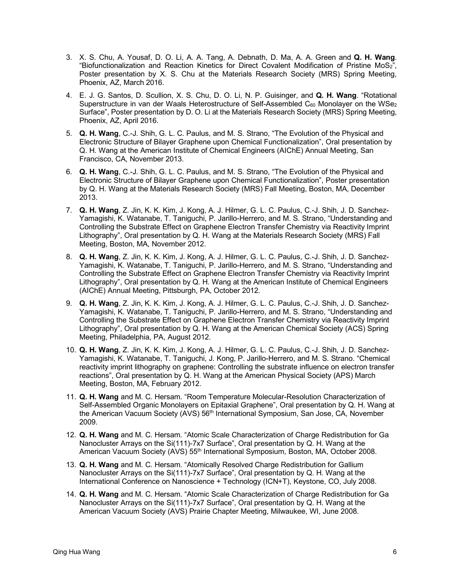- 3. X. S. Chu, A. Yousaf, D. O. Li, A. A. Tang, A. Debnath, D. Ma, A. A. Green and **Q. H. Wang**. "Biofunctionalization and Reaction Kinetics for Direct Covalent Modification of Pristine MoS2", Poster presentation by X. S. Chu at the Materials Research Society (MRS) Spring Meeting, Phoenix, AZ, March 2016.
- 4. E. J. G. Santos, D. Scullion, X. S. Chu, D. O. Li, N. P. Guisinger, and **Q. H. Wang**. "Rotational Superstructure in van der Waals Heterostructure of Self-Assembled C $_{60}$  Monolayer on the WSe<sub>2</sub> Surface", Poster presentation by D. O. Li at the Materials Research Society (MRS) Spring Meeting, Phoenix, AZ, April 2016.
- 5. **Q. H. Wang**, C.-J. Shih, G. L. C. Paulus, and M. S. Strano, "The Evolution of the Physical and Electronic Structure of Bilayer Graphene upon Chemical Functionalization", Oral presentation by Q. H. Wang at the American Institute of Chemical Engineers (AIChE) Annual Meeting, San Francisco, CA, November 2013.
- 6. **Q. H. Wang**, C.-J. Shih, G. L. C. Paulus, and M. S. Strano, "The Evolution of the Physical and Electronic Structure of Bilayer Graphene upon Chemical Functionalization", Poster presentation by Q. H. Wang at the Materials Research Society (MRS) Fall Meeting, Boston, MA, December 2013.
- 7. **Q. H. Wang**, Z. Jin, K. K. Kim, J. Kong, A. J. Hilmer, G. L. C. Paulus, C.-J. Shih, J. D. Sanchez-Yamagishi, K. Watanabe, T. Taniguchi, P. Jarillo-Herrero, and M. S. Strano, "Understanding and Controlling the Substrate Effect on Graphene Electron Transfer Chemistry via Reactivity Imprint Lithography", Oral presentation by Q. H. Wang at the Materials Research Society (MRS) Fall Meeting, Boston, MA, November 2012.
- 8. **Q. H. Wang**, Z. Jin, K. K. Kim, J. Kong, A. J. Hilmer, G. L. C. Paulus, C.-J. Shih, J. D. Sanchez-Yamagishi, K. Watanabe, T. Taniguchi, P. Jarillo-Herrero, and M. S. Strano, "Understanding and Controlling the Substrate Effect on Graphene Electron Transfer Chemistry via Reactivity Imprint Lithography", Oral presentation by Q. H. Wang at the American Institute of Chemical Engineers (AIChE) Annual Meeting, Pittsburgh, PA, October 2012.
- 9. **Q. H. Wang**, Z. Jin, K. K. Kim, J. Kong, A. J. Hilmer, G. L. C. Paulus, C.-J. Shih, J. D. Sanchez-Yamagishi, K. Watanabe, T. Taniguchi, P. Jarillo-Herrero, and M. S. Strano, "Understanding and Controlling the Substrate Effect on Graphene Electron Transfer Chemistry via Reactivity Imprint Lithography", Oral presentation by Q. H. Wang at the American Chemical Society (ACS) Spring Meeting, Philadelphia, PA, August 2012.
- 10. **Q. H. Wang**, Z. Jin, K. K. Kim, J. Kong, A. J. Hilmer, G. L. C. Paulus, C.-J. Shih, J. D. Sanchez-Yamagishi, K. Watanabe, T. Taniguchi, J. Kong, P. Jarillo-Herrero, and M. S. Strano. "Chemical reactivity imprint lithography on graphene: Controlling the substrate influence on electron transfer reactions", Oral presentation by Q. H. Wang at the American Physical Society (APS) March Meeting, Boston, MA, February 2012.
- 11. **Q. H. Wang** and M. C. Hersam. "Room Temperature Molecular-Resolution Characterization of Self-Assembled Organic Monolayers on Epitaxial Graphene", Oral presentation by Q. H. Wang at the American Vacuum Society (AVS) 56<sup>th</sup> International Symposium, San Jose, CA, November 2009.
- 12. **Q. H. Wang** and M. C. Hersam. "Atomic Scale Characterization of Charge Redistribution for Ga Nanocluster Arrays on the Si(111)-7x7 Surface", Oral presentation by Q. H. Wang at the American Vacuum Society (AVS) 55th International Symposium, Boston, MA, October 2008.
- 13. **Q. H. Wang** and M. C. Hersam. "Atomically Resolved Charge Redistribution for Gallium Nanocluster Arrays on the Si(111)-7x7 Surface", Oral presentation by Q. H. Wang at the International Conference on Nanoscience + Technology (ICN+T), Keystone, CO, July 2008.
- 14. **Q. H. Wang** and M. C. Hersam. "Atomic Scale Characterization of Charge Redistribution for Ga Nanocluster Arrays on the Si(111)-7x7 Surface", Oral presentation by Q. H. Wang at the American Vacuum Society (AVS) Prairie Chapter Meeting, Milwaukee, WI, June 2008.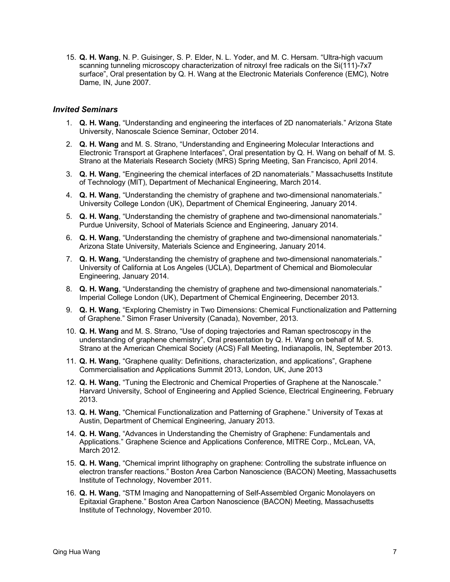15. **Q. H. Wang**, N. P. Guisinger, S. P. Elder, N. L. Yoder, and M. C. Hersam. "Ultra-high vacuum scanning tunneling microscopy characterization of nitroxyl free radicals on the Si(111)-7x7 surface", Oral presentation by Q. H. Wang at the Electronic Materials Conference (EMC), Notre Dame, IN, June 2007.

#### *Invited Seminars*

- 1. **Q. H. Wang**, "Understanding and engineering the interfaces of 2D nanomaterials." Arizona State University, Nanoscale Science Seminar, October 2014.
- 2. **Q. H. Wang** and M. S. Strano, "Understanding and Engineering Molecular Interactions and Electronic Transport at Graphene Interfaces", Oral presentation by Q. H. Wang on behalf of M. S. Strano at the Materials Research Society (MRS) Spring Meeting, San Francisco, April 2014.
- 3. **Q. H. Wang**, "Engineering the chemical interfaces of 2D nanomaterials." Massachusetts Institute of Technology (MIT), Department of Mechanical Engineering, March 2014.
- 4. **Q. H. Wang**, "Understanding the chemistry of graphene and two-dimensional nanomaterials." University College London (UK), Department of Chemical Engineering, January 2014.
- 5. **Q. H. Wang**, "Understanding the chemistry of graphene and two-dimensional nanomaterials." Purdue University, School of Materials Science and Engineering, January 2014.
- 6. **Q. H. Wang**, "Understanding the chemistry of graphene and two-dimensional nanomaterials." Arizona State University, Materials Science and Engineering, January 2014.
- 7. **Q. H. Wang**, "Understanding the chemistry of graphene and two-dimensional nanomaterials." University of California at Los Angeles (UCLA), Department of Chemical and Biomolecular Engineering, January 2014.
- 8. **Q. H. Wang**, "Understanding the chemistry of graphene and two-dimensional nanomaterials." Imperial College London (UK), Department of Chemical Engineering, December 2013.
- 9. **Q. H. Wang**, "Exploring Chemistry in Two Dimensions: Chemical Functionalization and Patterning of Graphene." Simon Fraser University (Canada), November, 2013.
- 10. **Q. H. Wang** and M. S. Strano, "Use of doping trajectories and Raman spectroscopy in the understanding of graphene chemistry", Oral presentation by Q. H. Wang on behalf of M. S. Strano at the American Chemical Society (ACS) Fall Meeting, Indianapolis, IN, September 2013.
- 11. **Q. H. Wang**, "Graphene quality: Definitions, characterization, and applications", Graphene Commercialisation and Applications Summit 2013, London, UK, June 2013
- 12. **Q. H. Wang**, "Tuning the Electronic and Chemical Properties of Graphene at the Nanoscale." Harvard University, School of Engineering and Applied Science, Electrical Engineering, February 2013.
- 13. **Q. H. Wang**, "Chemical Functionalization and Patterning of Graphene." University of Texas at Austin, Department of Chemical Engineering, January 2013.
- 14. **Q. H. Wang**, "Advances in Understanding the Chemistry of Graphene: Fundamentals and Applications." Graphene Science and Applications Conference, MITRE Corp., McLean, VA, March 2012.
- 15. **Q. H. Wang**, "Chemical imprint lithography on graphene: Controlling the substrate influence on electron transfer reactions." Boston Area Carbon Nanoscience (BACON) Meeting, Massachusetts Institute of Technology, November 2011.
- 16. **Q. H. Wang**, "STM Imaging and Nanopatterning of Self-Assembled Organic Monolayers on Epitaxial Graphene." Boston Area Carbon Nanoscience (BACON) Meeting, Massachusetts Institute of Technology, November 2010.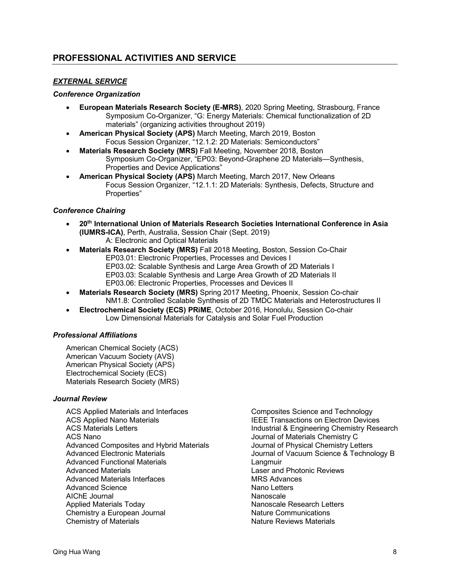## *EXTERNAL SERVICE*

#### *Conference Organization*

- **European Materials Research Society (E-MRS)**, 2020 Spring Meeting, Strasbourg, France Symposium Co-Organizer, "G: Energy Materials: Chemical functionalization of 2D materials" (organizing activities throughout 2019)
- **American Physical Society (APS)** March Meeting, March 2019, Boston Focus Session Organizer, "12.1.2: 2D Materials: Semiconductors"
- **Materials Research Society (MRS)** Fall Meeting, November 2018, Boston Symposium Co-Organizer, "EP03: Beyond-Graphene 2D Materials—Synthesis, Properties and Device Applications"
- **American Physical Society (APS)** March Meeting, March 2017, New Orleans Focus Session Organizer, "12.1.1: 2D Materials: Synthesis, Defects, Structure and Properties"

## *Conference Chairing*

- **20th International Union of Materials Research Societies International Conference in Asia (IUMRS-ICA)**, Perth, Australia, Session Chair (Sept. 2019) A: Electronic and Optical Materials
- **Materials Research Society (MRS)** Fall 2018 Meeting, Boston, Session Co-Chair EP03.01: Electronic Properties, Processes and Devices I
	- EP03.02: Scalable Synthesis and Large Area Growth of 2D Materials I
	- EP03.03: Scalable Synthesis and Large Area Growth of 2D Materials II
	- EP03.06: Electronic Properties, Processes and Devices II
- **Materials Research Society (MRS)** Spring 2017 Meeting, Phoenix, Session Co-chair NM1.8: Controlled Scalable Synthesis of 2D TMDC Materials and Heterostructures II
- **Electrochemical Society (ECS) PRiME**, October 2016, Honolulu, Session Co-chair Low Dimensional Materials for Catalysis and Solar Fuel Production

## *Professional Affiliations*

American Chemical Society (ACS) American Vacuum Society (AVS) American Physical Society (APS) Electrochemical Society (ECS) Materials Research Society (MRS)

#### *Journal Review*

ACS Applied Materials and Interfaces ACS Applied Nano Materials ACS Materials Letters ACS Nano Advanced Composites and Hybrid Materials Advanced Electronic Materials Advanced Functional Materials Advanced Materials Advanced Materials Interfaces Advanced Science AIChE Journal Applied Materials Today Chemistry a European Journal Chemistry of Materials

Composites Science and Technology IEEE Transactions on Electron Devices Industrial & Engineering Chemistry Research Journal of Materials Chemistry C Journal of Physical Chemistry Letters Journal of Vacuum Science & Technology B **Langmuir** Laser and Photonic Reviews MRS Advances Nano Letters Nanoscale Nanoscale Research Letters Nature Communications Nature Reviews Materials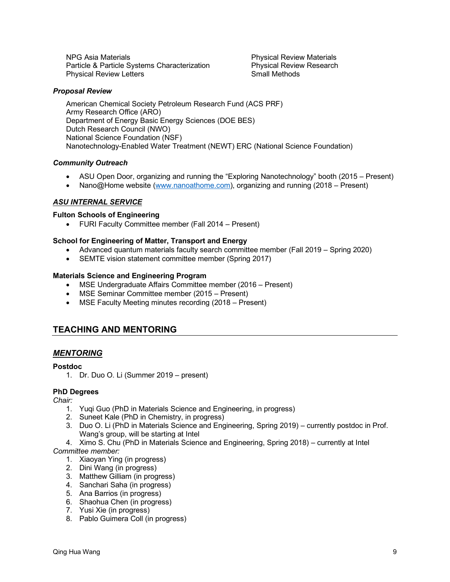NPG Asia Materials Particle & Particle Systems Characterization Physical Review Letters

Physical Review Materials Physical Review Research Small Methods

## *Proposal Review*

American Chemical Society Petroleum Research Fund (ACS PRF) Army Research Office (ARO) Department of Energy Basic Energy Sciences (DOE BES) Dutch Research Council (NWO) National Science Foundation (NSF) Nanotechnology-Enabled Water Treatment (NEWT) ERC (National Science Foundation)

## *Community Outreach*

- ASU Open Door, organizing and running the "Exploring Nanotechnology" booth (2015 Present)
- Nano@Home website (www.nanoathome.com), organizing and running (2018 Present)

## *ASU INTERNAL SERVICE*

#### **Fulton Schools of Engineering**

• FURI Faculty Committee member (Fall 2014 – Present)

#### **School for Engineering of Matter, Transport and Energy**

- Advanced quantum materials faculty search committee member (Fall 2019 Spring 2020)
- SEMTE vision statement committee member (Spring 2017)

#### **Materials Science and Engineering Program**

- MSE Undergraduate Affairs Committee member (2016 Present)
- MSE Seminar Committee member (2015 Present)
- MSE Faculty Meeting minutes recording (2018 Present)

# **TEACHING AND MENTORING**

## *MENTORING*

#### **Postdoc**

1. Dr. Duo O. Li (Summer 2019 – present)

## **PhD Degrees**

*Chair:*

- 1. Yuqi Guo (PhD in Materials Science and Engineering, in progress)
- 2. Suneet Kale (PhD in Chemistry, in progress)
- 3. Duo O. Li (PhD in Materials Science and Engineering, Spring 2019) currently postdoc in Prof. Wang's group, will be starting at Intel
- 4. Ximo S. Chu (PhD in Materials Science and Engineering, Spring 2018) currently at Intel *Committee member:*
	- 1. Xiaoyan Ying (in progress)
	- 2. Dini Wang (in progress)
	- 3. Matthew Gilliam (in progress)
	- 4. Sanchari Saha (in progress)
	- 5. Ana Barrios (in progress)
	- 6. Shaohua Chen (in progress)
	- 7. Yusi Xie (in progress)
	- 8. Pablo Guimera Coll (in progress)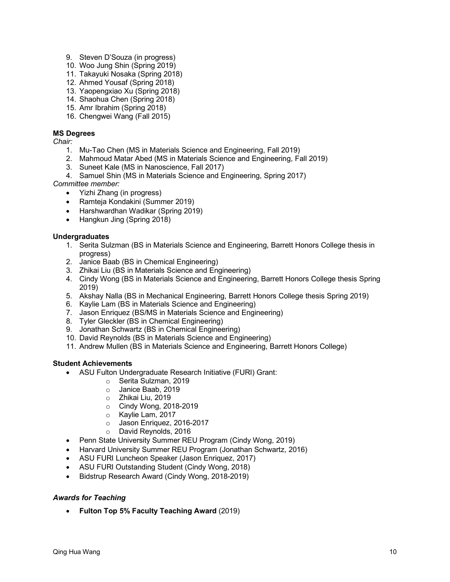- 9. Steven D'Souza (in progress)
- 10. Woo Jung Shin (Spring 2019)
- 11. Takayuki Nosaka (Spring 2018)
- 12. Ahmed Yousaf (Spring 2018)
- 13. Yaopengxiao Xu (Spring 2018)
- 14. Shaohua Chen (Spring 2018)
- 15. Amr Ibrahim (Spring 2018)
- 16. Chengwei Wang (Fall 2015)

## **MS Degrees**

*Chair:*

- 1. Mu-Tao Chen (MS in Materials Science and Engineering, Fall 2019)
- 2. Mahmoud Matar Abed (MS in Materials Science and Engineering, Fall 2019)
- 3. Suneet Kale (MS in Nanoscience, Fall 2017)
- 4. Samuel Shin (MS in Materials Science and Engineering, Spring 2017)

*Committee member:*

- Yizhi Zhang (in progress)
- Ramteja Kondakini (Summer 2019)
- Harshwardhan Wadikar (Spring 2019)
- Hangkun Jing (Spring 2018)

## **Undergraduates**

- 1. Serita Sulzman (BS in Materials Science and Engineering, Barrett Honors College thesis in progress)
- 2. Janice Baab (BS in Chemical Engineering)
- 3. Zhikai Liu (BS in Materials Science and Engineering)
- 4. Cindy Wong (BS in Materials Science and Engineering, Barrett Honors College thesis Spring 2019)
- 5. Akshay Nalla (BS in Mechanical Engineering, Barrett Honors College thesis Spring 2019)
- 6. Kaylie Lam (BS in Materials Science and Engineering)
- 7. Jason Enriquez (BS/MS in Materials Science and Engineering)
- 8. Tyler Gleckler (BS in Chemical Engineering)
- 9. Jonathan Schwartz (BS in Chemical Engineering)
- 10. David Reynolds (BS in Materials Science and Engineering)
- 11. Andrew Mullen (BS in Materials Science and Engineering, Barrett Honors College)

## **Student Achievements**

- ASU Fulton Undergraduate Research Initiative (FURI) Grant:
	- o Serita Sulzman, 2019
	- o Janice Baab, 2019
	- o Zhikai Liu, 2019
	- o Cindy Wong, 2018-2019
	- o Kaylie Lam, 2017
	- o Jason Enriquez, 2016-2017
	- o David Reynolds, 2016
- Penn State University Summer REU Program (Cindy Wong, 2019)
- Harvard University Summer REU Program (Jonathan Schwartz, 2016)
- ASU FURI Luncheon Speaker (Jason Enriquez, 2017)
- ASU FURI Outstanding Student (Cindy Wong, 2018)
- Bidstrup Research Award (Cindy Wong, 2018-2019)

## *Awards for Teaching*

• **Fulton Top 5% Faculty Teaching Award** (2019)